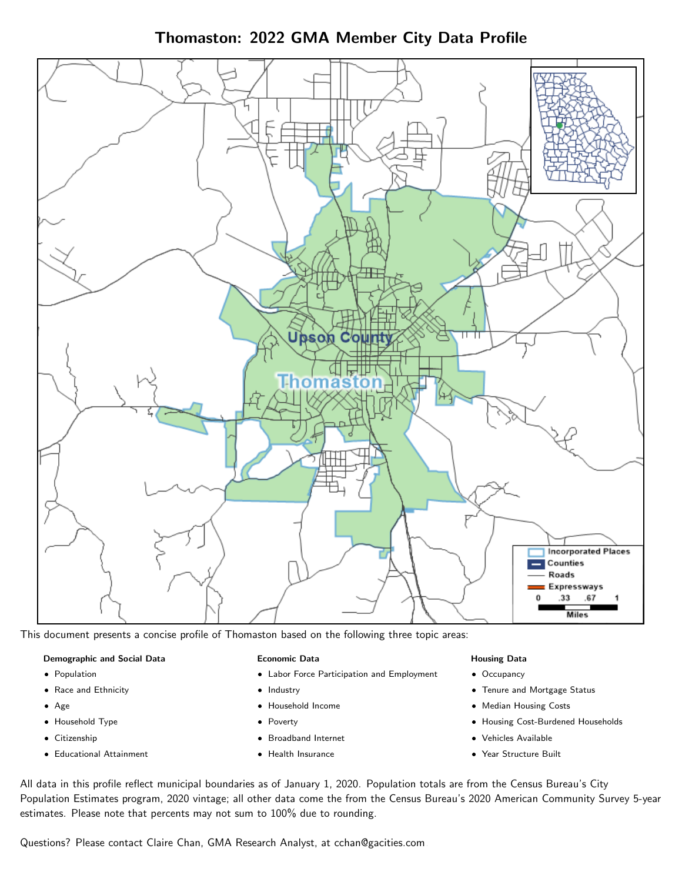Thomaston: 2022 GMA Member City Data Profile



This document presents a concise profile of Thomaston based on the following three topic areas:

#### Demographic and Social Data

- **•** Population
- Race and Ethnicity
- Age
- Household Type
- **Citizenship**
- Educational Attainment

#### Economic Data

- Labor Force Participation and Employment
- Industry
- Household Income
- Poverty
- Broadband Internet
- Health Insurance

#### Housing Data

- Occupancy
- Tenure and Mortgage Status
- Median Housing Costs
- Housing Cost-Burdened Households
- Vehicles Available
- Year Structure Built

All data in this profile reflect municipal boundaries as of January 1, 2020. Population totals are from the Census Bureau's City Population Estimates program, 2020 vintage; all other data come the from the Census Bureau's 2020 American Community Survey 5-year estimates. Please note that percents may not sum to 100% due to rounding.

Questions? Please contact Claire Chan, GMA Research Analyst, at [cchan@gacities.com.](mailto:cchan@gacities.com)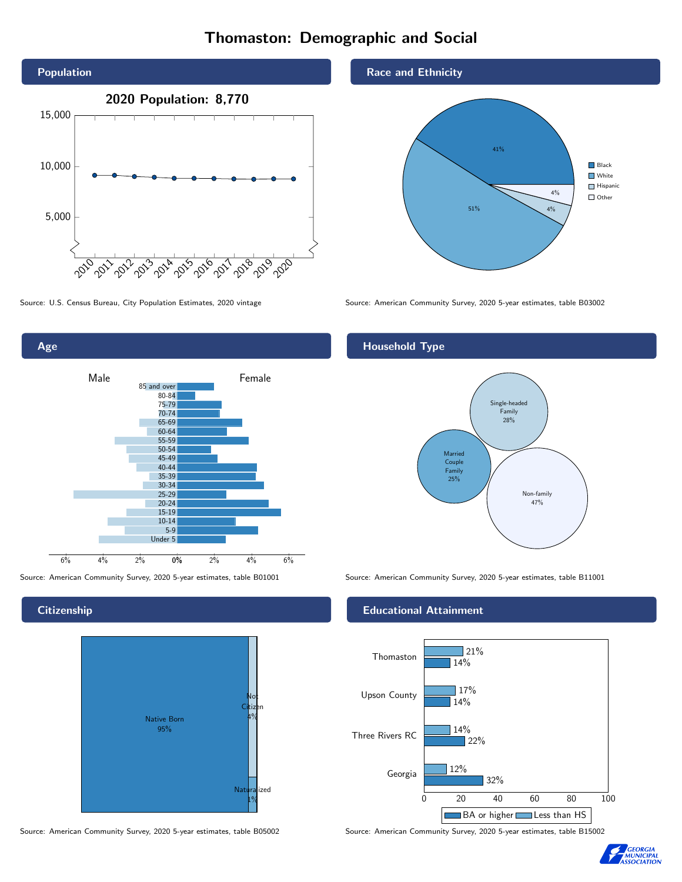# Thomaston: Demographic and Social



Age 0% 2% 4% 6% Male <u>Communication</u> Female 6% 4% 2% 85 and over 80-84 75-79 70-74 65-69 60-64 55-59 50-54 45-49 40-44 35-39 30-34 25-29 20-24 15-19  $10-14$ 5-9 Under 5

**Citizenship** 



Source: American Community Survey, 2020 5-year estimates, table B05002 Source: American Community Survey, 2020 5-year estimates, table B15002

# Race and Ethnicity



Source: U.S. Census Bureau, City Population Estimates, 2020 vintage Source: American Community Survey, 2020 5-year estimates, table B03002

# Household Type



Source: American Community Survey, 2020 5-year estimates, table B01001 Source: American Community Survey, 2020 5-year estimates, table B11001

#### Educational Attainment



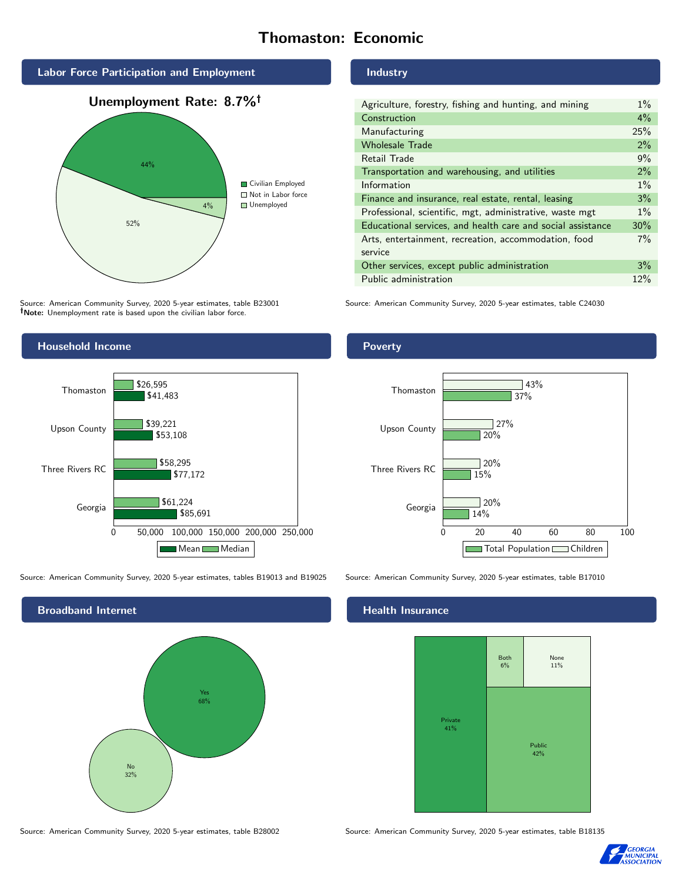# Thomaston: Economic



Source: American Community Survey, 2020 5-year estimates, table B23001 Note: Unemployment rate is based upon the civilian labor force.

### Industry

| Agriculture, forestry, fishing and hunting, and mining      | $1\%$ |
|-------------------------------------------------------------|-------|
| Construction                                                | 4%    |
| Manufacturing                                               | 25%   |
| <b>Wholesale Trade</b>                                      | 2%    |
| Retail Trade                                                | 9%    |
| Transportation and warehousing, and utilities               | 2%    |
| Information                                                 | $1\%$ |
| Finance and insurance, real estate, rental, leasing         | 3%    |
| Professional, scientific, mgt, administrative, waste mgt    | $1\%$ |
| Educational services, and health care and social assistance | 30%   |
| Arts, entertainment, recreation, accommodation, food        | $7\%$ |
| service                                                     |       |
| Other services, except public administration                | 3%    |
| Public administration                                       | 12%   |

Source: American Community Survey, 2020 5-year estimates, table C24030



Source: American Community Survey, 2020 5-year estimates, tables B19013 and B19025 Source: American Community Survey, 2020 5-year estimates, table B17010



#### Poverty



### Health Insurance



Source: American Community Survey, 2020 5-year estimates, table B28002 Source: American Community Survey, 2020 5-year estimates, table B18135